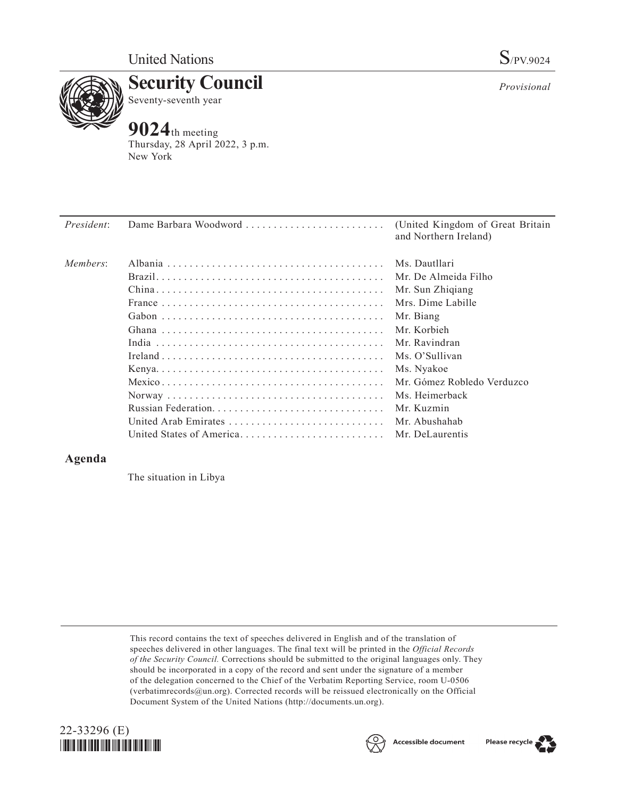

**Security Council** Seventy-seventh year

# **9024**th meeting

Thursday, 28 April 2022, 3 p.m. New York

| <i>President:</i> | Dame Barbara Woodword                    | (United Kingdom of Great Britain<br>and Northern Ireland) |
|-------------------|------------------------------------------|-----------------------------------------------------------|
| Members:          |                                          | Ms. Dautllari                                             |
|                   |                                          | Mr. De Almeida Filho                                      |
|                   |                                          | Mr. Sun Zhiqiang                                          |
|                   |                                          | Mrs. Dime Labille                                         |
|                   |                                          | Mr. Biang                                                 |
|                   |                                          | Mr. Korbieh                                               |
|                   |                                          | Mr. Ravindran                                             |
|                   |                                          | Ms. O'Sullivan                                            |
|                   |                                          | Ms. Nyakoe                                                |
|                   |                                          | Mr. Gómez Robledo Verduzco                                |
|                   |                                          | Ms. Heimerback                                            |
|                   |                                          | Mr. Kuzmin                                                |
|                   | United Arab Emirates                     | Mr. Abushahab                                             |
|                   | United States of America Mr. DeLaurentis |                                                           |

## **Agenda**

The situation in Libya

This record contains the text of speeches delivered in English and of the translation of speeches delivered in other languages. The final text will be printed in the *Official Records of the Security Council.* Corrections should be submitted to the original languages only. They should be incorporated in a copy of the record and sent under the signature of a member of the delegation concerned to the Chief of the Verbatim Reporting Service, room U-0506 (verbatimrecords@un.org). Corrected records will be reissued electronically on the Official Document System of the United Nations (http://documents.un.org).







*Provisional*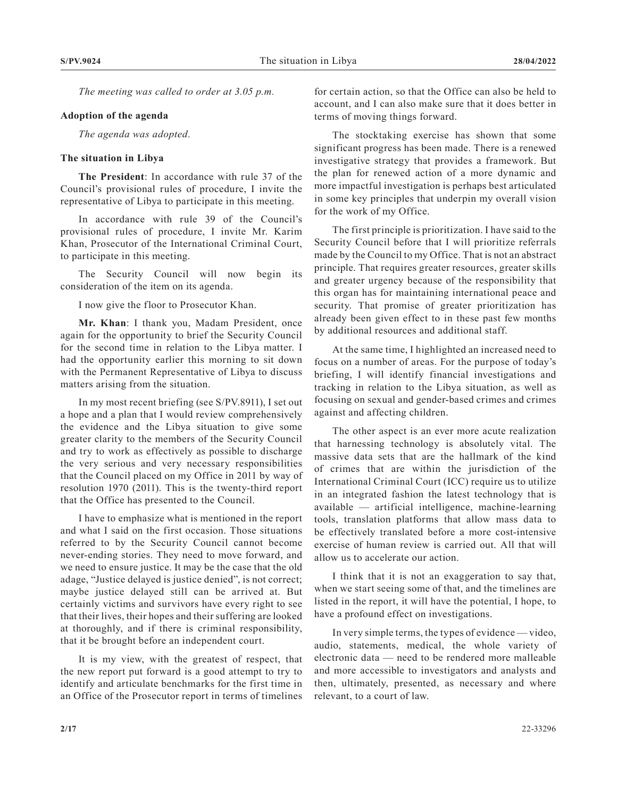*The meeting was called to order at 3.05 p.m.*

### **Adoption of the agenda**

*The agenda was adopted.*

#### **The situation in Libya**

**The President**: In accordance with rule 37 of the Council's provisional rules of procedure, I invite the representative of Libya to participate in this meeting.

In accordance with rule 39 of the Council's provisional rules of procedure, I invite Mr. Karim Khan, Prosecutor of the International Criminal Court, to participate in this meeting.

The Security Council will now begin its consideration of the item on its agenda.

I now give the floor to Prosecutor Khan.

**Mr. Khan**: I thank you, Madam President, once again for the opportunity to brief the Security Council for the second time in relation to the Libya matter. I had the opportunity earlier this morning to sit down with the Permanent Representative of Libya to discuss matters arising from the situation.

In my most recent briefing (see S/PV.8911), I set out a hope and a plan that I would review comprehensively the evidence and the Libya situation to give some greater clarity to the members of the Security Council and try to work as effectively as possible to discharge the very serious and very necessary responsibilities that the Council placed on my Office in 2011 by way of resolution 1970 (2011). This is the twenty-third report that the Office has presented to the Council.

I have to emphasize what is mentioned in the report and what I said on the first occasion. Those situations referred to by the Security Council cannot become never-ending stories. They need to move forward, and we need to ensure justice. It may be the case that the old adage, "Justice delayed is justice denied", is not correct; maybe justice delayed still can be arrived at. But certainly victims and survivors have every right to see that their lives, their hopes and their suffering are looked at thoroughly, and if there is criminal responsibility, that it be brought before an independent court.

It is my view, with the greatest of respect, that the new report put forward is a good attempt to try to identify and articulate benchmarks for the first time in an Office of the Prosecutor report in terms of timelines

for certain action, so that the Office can also be held to account, and I can also make sure that it does better in terms of moving things forward.

The stocktaking exercise has shown that some significant progress has been made. There is a renewed investigative strategy that provides a framework. But the plan for renewed action of a more dynamic and more impactful investigation is perhaps best articulated in some key principles that underpin my overall vision for the work of my Office.

The first principle is prioritization. I have said to the Security Council before that I will prioritize referrals made by the Council to my Office. That is not an abstract principle. That requires greater resources, greater skills and greater urgency because of the responsibility that this organ has for maintaining international peace and security. That promise of greater prioritization has already been given effect to in these past few months by additional resources and additional staff.

At the same time, I highlighted an increased need to focus on a number of areas. For the purpose of today's briefing, I will identify financial investigations and tracking in relation to the Libya situation, as well as focusing on sexual and gender-based crimes and crimes against and affecting children.

The other aspect is an ever more acute realization that harnessing technology is absolutely vital. The massive data sets that are the hallmark of the kind of crimes that are within the jurisdiction of the International Criminal Court (ICC) require us to utilize in an integrated fashion the latest technology that is available — artificial intelligence, machine-learning tools, translation platforms that allow mass data to be effectively translated before a more cost-intensive exercise of human review is carried out. All that will allow us to accelerate our action.

I think that it is not an exaggeration to say that, when we start seeing some of that, and the timelines are listed in the report, it will have the potential, I hope, to have a profound effect on investigations.

In very simple terms, the types of evidence — video, audio, statements, medical, the whole variety of electronic data — need to be rendered more malleable and more accessible to investigators and analysts and then, ultimately, presented, as necessary and where relevant, to a court of law.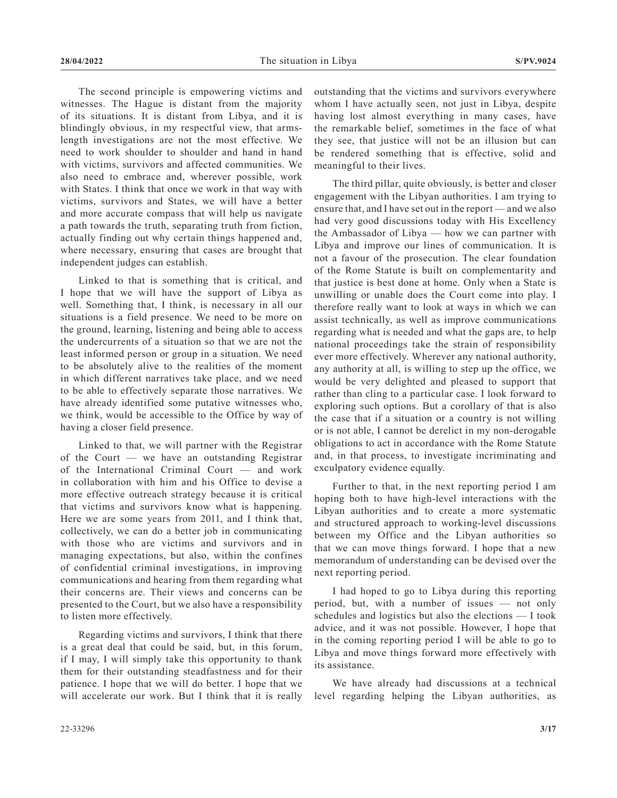The second principle is empowering victims and witnesses. The Hague is distant from the majority of its situations. It is distant from Libya, and it is blindingly obvious, in my respectful view, that armslength investigations are not the most effective. We need to work shoulder to shoulder and hand in hand with victims, survivors and affected communities. We also need to embrace and, wherever possible, work with States. I think that once we work in that way with victims, survivors and States, we will have a better and more accurate compass that will help us navigate a path towards the truth, separating truth from fiction, actually finding out why certain things happened and, where necessary, ensuring that cases are brought that independent judges can establish.

Linked to that is something that is critical, and I hope that we will have the support of Libya as well. Something that, I think, is necessary in all our situations is a field presence. We need to be more on the ground, learning, listening and being able to access the undercurrents of a situation so that we are not the least informed person or group in a situation. We need to be absolutely alive to the realities of the moment in which different narratives take place, and we need to be able to effectively separate those narratives. We have already identified some putative witnesses who, we think, would be accessible to the Office by way of having a closer field presence.

Linked to that, we will partner with the Registrar of the Court — we have an outstanding Registrar of the International Criminal Court — and work in collaboration with him and his Office to devise a more effective outreach strategy because it is critical that victims and survivors know what is happening. Here we are some years from 2011, and I think that, collectively, we can do a better job in communicating with those who are victims and survivors and in managing expectations, but also, within the confines of confidential criminal investigations, in improving communications and hearing from them regarding what their concerns are. Their views and concerns can be presented to the Court, but we also have a responsibility to listen more effectively.

Regarding victims and survivors, I think that there is a great deal that could be said, but, in this forum, if I may, I will simply take this opportunity to thank them for their outstanding steadfastness and for their patience. I hope that we will do better. I hope that we will accelerate our work. But I think that it is really

outstanding that the victims and survivors everywhere whom I have actually seen, not just in Libya, despite having lost almost everything in many cases, have the remarkable belief, sometimes in the face of what they see, that justice will not be an illusion but can be rendered something that is effective, solid and meaningful to their lives.

The third pillar, quite obviously, is better and closer engagement with the Libyan authorities. I am trying to ensure that, and I have set out in the report — and we also had very good discussions today with His Excellency the Ambassador of Libya — how we can partner with Libya and improve our lines of communication. It is not a favour of the prosecution. The clear foundation of the Rome Statute is built on complementarity and that justice is best done at home. Only when a State is unwilling or unable does the Court come into play. I therefore really want to look at ways in which we can assist technically, as well as improve communications regarding what is needed and what the gaps are, to help national proceedings take the strain of responsibility ever more effectively. Wherever any national authority, any authority at all, is willing to step up the office, we would be very delighted and pleased to support that rather than cling to a particular case. I look forward to exploring such options. But a corollary of that is also the case that if a situation or a country is not willing or is not able, I cannot be derelict in my non-derogable obligations to act in accordance with the Rome Statute and, in that process, to investigate incriminating and exculpatory evidence equally.

Further to that, in the next reporting period I am hoping both to have high-level interactions with the Libyan authorities and to create a more systematic and structured approach to working-level discussions between my Office and the Libyan authorities so that we can move things forward. I hope that a new memorandum of understanding can be devised over the next reporting period.

I had hoped to go to Libya during this reporting period, but, with a number of issues — not only schedules and logistics but also the elections — I took advice, and it was not possible. However, I hope that in the coming reporting period I will be able to go to Libya and move things forward more effectively with its assistance.

We have already had discussions at a technical level regarding helping the Libyan authorities, as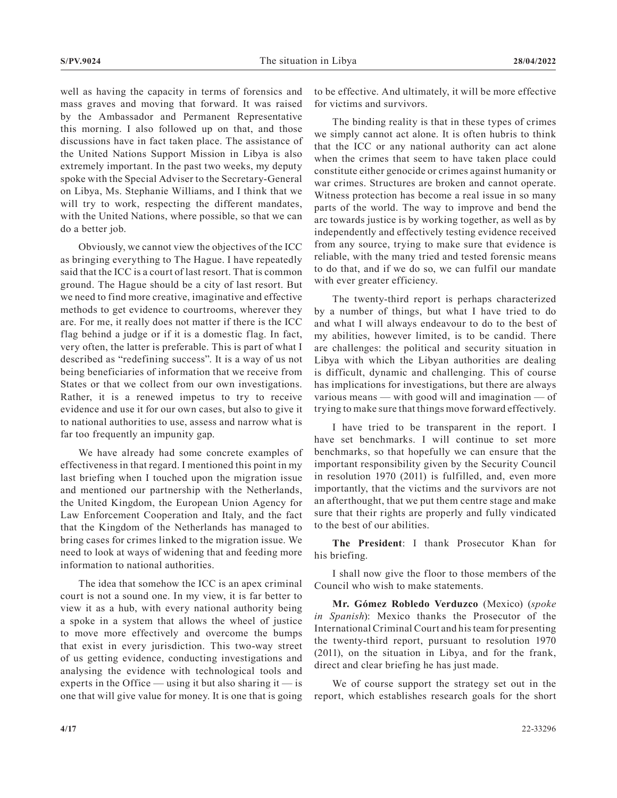well as having the capacity in terms of forensics and mass graves and moving that forward. It was raised by the Ambassador and Permanent Representative this morning. I also followed up on that, and those discussions have in fact taken place. The assistance of the United Nations Support Mission in Libya is also extremely important. In the past two weeks, my deputy spoke with the Special Adviser to the Secretary-General on Libya, Ms. Stephanie Williams, and I think that we will try to work, respecting the different mandates, with the United Nations, where possible, so that we can do a better job.

Obviously, we cannot view the objectives of the ICC as bringing everything to The Hague. I have repeatedly said that the ICC is a court of last resort. That is common ground. The Hague should be a city of last resort. But we need to find more creative, imaginative and effective methods to get evidence to courtrooms, wherever they are. For me, it really does not matter if there is the ICC flag behind a judge or if it is a domestic flag. In fact, very often, the latter is preferable. This is part of what I described as "redefining success". It is a way of us not being beneficiaries of information that we receive from States or that we collect from our own investigations. Rather, it is a renewed impetus to try to receive evidence and use it for our own cases, but also to give it to national authorities to use, assess and narrow what is far too frequently an impunity gap.

We have already had some concrete examples of effectiveness in that regard. I mentioned this point in my last briefing when I touched upon the migration issue and mentioned our partnership with the Netherlands, the United Kingdom, the European Union Agency for Law Enforcement Cooperation and Italy, and the fact that the Kingdom of the Netherlands has managed to bring cases for crimes linked to the migration issue. We need to look at ways of widening that and feeding more information to national authorities.

The idea that somehow the ICC is an apex criminal court is not a sound one. In my view, it is far better to view it as a hub, with every national authority being a spoke in a system that allows the wheel of justice to move more effectively and overcome the bumps that exist in every jurisdiction. This two-way street of us getting evidence, conducting investigations and analysing the evidence with technological tools and experts in the Office — using it but also sharing it — is one that will give value for money. It is one that is going

to be effective. And ultimately, it will be more effective for victims and survivors.

The binding reality is that in these types of crimes we simply cannot act alone. It is often hubris to think that the ICC or any national authority can act alone when the crimes that seem to have taken place could constitute either genocide or crimes against humanity or war crimes. Structures are broken and cannot operate. Witness protection has become a real issue in so many parts of the world. The way to improve and bend the arc towards justice is by working together, as well as by independently and effectively testing evidence received from any source, trying to make sure that evidence is reliable, with the many tried and tested forensic means to do that, and if we do so, we can fulfil our mandate with ever greater efficiency.

The twenty-third report is perhaps characterized by a number of things, but what I have tried to do and what I will always endeavour to do to the best of my abilities, however limited, is to be candid. There are challenges: the political and security situation in Libya with which the Libyan authorities are dealing is difficult, dynamic and challenging. This of course has implications for investigations, but there are always various means — with good will and imagination — of trying to make sure that things move forward effectively.

I have tried to be transparent in the report. I have set benchmarks. I will continue to set more benchmarks, so that hopefully we can ensure that the important responsibility given by the Security Council in resolution 1970 (2011) is fulfilled, and, even more importantly, that the victims and the survivors are not an afterthought, that we put them centre stage and make sure that their rights are properly and fully vindicated to the best of our abilities.

**The President**: I thank Prosecutor Khan for his briefing.

I shall now give the floor to those members of the Council who wish to make statements.

**Mr. Gómez Robledo Verduzco** (Mexico) (*spoke in Spanish*): Mexico thanks the Prosecutor of the International Criminal Court and his team for presenting the twenty-third report, pursuant to resolution 1970 (2011), on the situation in Libya, and for the frank, direct and clear briefing he has just made.

We of course support the strategy set out in the report, which establishes research goals for the short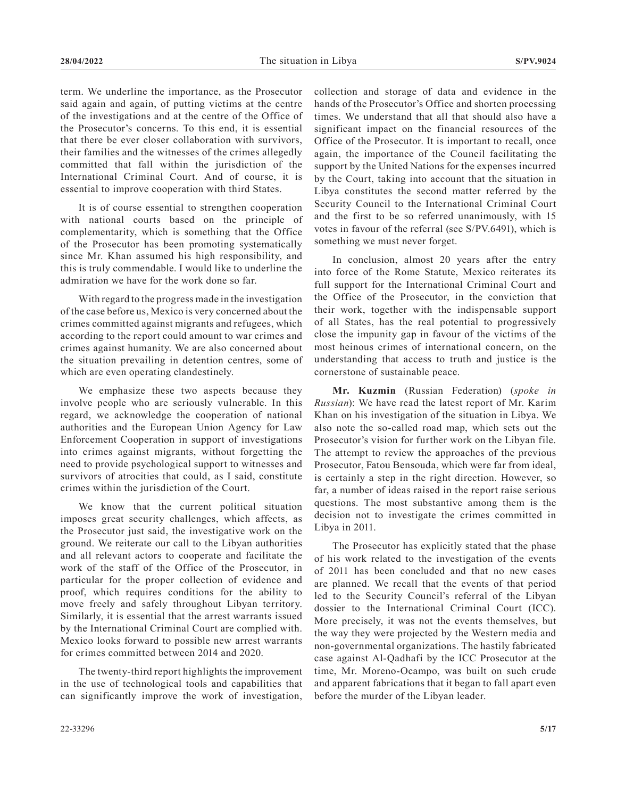term. We underline the importance, as the Prosecutor said again and again, of putting victims at the centre of the investigations and at the centre of the Office of the Prosecutor's concerns. To this end, it is essential that there be ever closer collaboration with survivors, their families and the witnesses of the crimes allegedly committed that fall within the jurisdiction of the International Criminal Court. And of course, it is essential to improve cooperation with third States.

It is of course essential to strengthen cooperation with national courts based on the principle of complementarity, which is something that the Office of the Prosecutor has been promoting systematically since Mr. Khan assumed his high responsibility, and this is truly commendable. I would like to underline the admiration we have for the work done so far.

With regard to the progress made in the investigation of the case before us, Mexico is very concerned about the crimes committed against migrants and refugees, which according to the report could amount to war crimes and crimes against humanity. We are also concerned about the situation prevailing in detention centres, some of which are even operating clandestinely.

We emphasize these two aspects because they involve people who are seriously vulnerable. In this regard, we acknowledge the cooperation of national authorities and the European Union Agency for Law Enforcement Cooperation in support of investigations into crimes against migrants, without forgetting the need to provide psychological support to witnesses and survivors of atrocities that could, as I said, constitute crimes within the jurisdiction of the Court.

We know that the current political situation imposes great security challenges, which affects, as the Prosecutor just said, the investigative work on the ground. We reiterate our call to the Libyan authorities and all relevant actors to cooperate and facilitate the work of the staff of the Office of the Prosecutor, in particular for the proper collection of evidence and proof, which requires conditions for the ability to move freely and safely throughout Libyan territory. Similarly, it is essential that the arrest warrants issued by the International Criminal Court are complied with. Mexico looks forward to possible new arrest warrants for crimes committed between 2014 and 2020.

The twenty-third report highlights the improvement in the use of technological tools and capabilities that can significantly improve the work of investigation, collection and storage of data and evidence in the hands of the Prosecutor's Office and shorten processing times. We understand that all that should also have a significant impact on the financial resources of the Office of the Prosecutor. It is important to recall, once again, the importance of the Council facilitating the support by the United Nations for the expenses incurred by the Court, taking into account that the situation in Libya constitutes the second matter referred by the Security Council to the International Criminal Court and the first to be so referred unanimously, with 15 votes in favour of the referral (see S/PV.6491), which is something we must never forget.

In conclusion, almost 20 years after the entry into force of the Rome Statute, Mexico reiterates its full support for the International Criminal Court and the Office of the Prosecutor, in the conviction that their work, together with the indispensable support of all States, has the real potential to progressively close the impunity gap in favour of the victims of the most heinous crimes of international concern, on the understanding that access to truth and justice is the cornerstone of sustainable peace.

**Mr. Kuzmin** (Russian Federation) (*spoke in Russian*): We have read the latest report of Mr. Karim Khan on his investigation of the situation in Libya. We also note the so-called road map, which sets out the Prosecutor's vision for further work on the Libyan file. The attempt to review the approaches of the previous Prosecutor, Fatou Bensouda, which were far from ideal, is certainly a step in the right direction. However, so far, a number of ideas raised in the report raise serious questions. The most substantive among them is the decision not to investigate the crimes committed in Libya in 2011.

The Prosecutor has explicitly stated that the phase of his work related to the investigation of the events of 2011 has been concluded and that no new cases are planned. We recall that the events of that period led to the Security Council's referral of the Libyan dossier to the International Criminal Court (ICC). More precisely, it was not the events themselves, but the way they were projected by the Western media and non-governmental organizations. The hastily fabricated case against Al-Qadhafi by the ICC Prosecutor at the time, Mr. Moreno-Ocampo, was built on such crude and apparent fabrications that it began to fall apart even before the murder of the Libyan leader.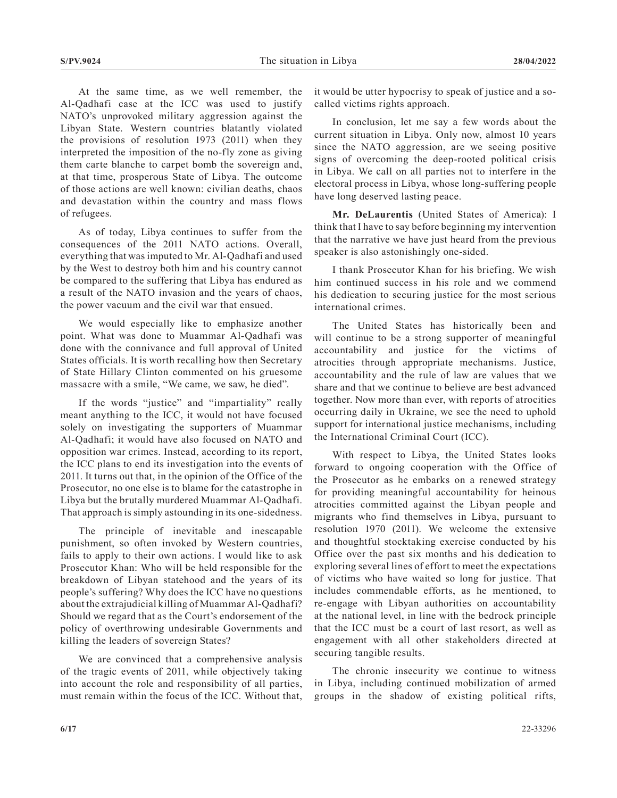At the same time, as we well remember, the Al-Qadhafi case at the ICC was used to justify NATO's unprovoked military aggression against the Libyan State. Western countries blatantly violated the provisions of resolution 1973 (2011) when they interpreted the imposition of the no-fly zone as giving them carte blanche to carpet bomb the sovereign and, at that time, prosperous State of Libya. The outcome of those actions are well known: civilian deaths, chaos and devastation within the country and mass flows of refugees.

As of today, Libya continues to suffer from the consequences of the 2011 NATO actions. Overall, everything that was imputed to Mr. Al-Qadhafi and used by the West to destroy both him and his country cannot be compared to the suffering that Libya has endured as a result of the NATO invasion and the years of chaos, the power vacuum and the civil war that ensued.

We would especially like to emphasize another point. What was done to Muammar Al-Qadhafi was done with the connivance and full approval of United States officials. It is worth recalling how then Secretary of State Hillary Clinton commented on his gruesome massacre with a smile, "We came, we saw, he died".

If the words "justice" and "impartiality" really meant anything to the ICC, it would not have focused solely on investigating the supporters of Muammar Al-Qadhafi; it would have also focused on NATO and opposition war crimes. Instead, according to its report, the ICC plans to end its investigation into the events of 2011. It turns out that, in the opinion of the Office of the Prosecutor, no one else is to blame for the catastrophe in Libya but the brutally murdered Muammar Al-Qadhafi. That approach is simply astounding in its one-sidedness.

The principle of inevitable and inescapable punishment, so often invoked by Western countries, fails to apply to their own actions. I would like to ask Prosecutor Khan: Who will be held responsible for the breakdown of Libyan statehood and the years of its people's suffering? Why does the ICC have no questions about the extrajudicial killing of Muammar Al-Qadhafi? Should we regard that as the Court's endorsement of the policy of overthrowing undesirable Governments and killing the leaders of sovereign States?

We are convinced that a comprehensive analysis of the tragic events of 2011, while objectively taking into account the role and responsibility of all parties, must remain within the focus of the ICC. Without that,

it would be utter hypocrisy to speak of justice and a socalled victims rights approach.

In conclusion, let me say a few words about the current situation in Libya. Only now, almost 10 years since the NATO aggression, are we seeing positive signs of overcoming the deep-rooted political crisis in Libya. We call on all parties not to interfere in the electoral process in Libya, whose long-suffering people have long deserved lasting peace.

**Mr. DeLaurentis** (United States of America): I think that I have to say before beginning my intervention that the narrative we have just heard from the previous speaker is also astonishingly one-sided.

I thank Prosecutor Khan for his briefing. We wish him continued success in his role and we commend his dedication to securing justice for the most serious international crimes.

The United States has historically been and will continue to be a strong supporter of meaningful accountability and justice for the victims of atrocities through appropriate mechanisms. Justice, accountability and the rule of law are values that we share and that we continue to believe are best advanced together. Now more than ever, with reports of atrocities occurring daily in Ukraine, we see the need to uphold support for international justice mechanisms, including the International Criminal Court (ICC).

With respect to Libya, the United States looks forward to ongoing cooperation with the Office of the Prosecutor as he embarks on a renewed strategy for providing meaningful accountability for heinous atrocities committed against the Libyan people and migrants who find themselves in Libya, pursuant to resolution 1970 (2011). We welcome the extensive and thoughtful stocktaking exercise conducted by his Office over the past six months and his dedication to exploring several lines of effort to meet the expectations of victims who have waited so long for justice. That includes commendable efforts, as he mentioned, to re-engage with Libyan authorities on accountability at the national level, in line with the bedrock principle that the ICC must be a court of last resort, as well as engagement with all other stakeholders directed at securing tangible results.

The chronic insecurity we continue to witness in Libya, including continued mobilization of armed groups in the shadow of existing political rifts,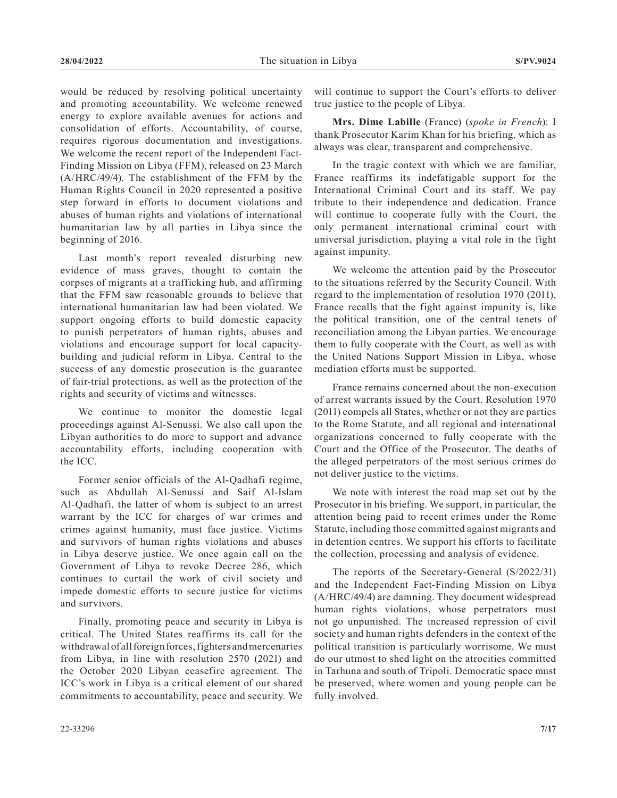would be reduced by resolving political uncertainty and promoting accountability. We welcome renewed energy to explore available avenues for actions and consolidation of efforts. Accountability, of course, requires rigorous documentation and investigations. We welcome the recent report of the Independent Fact-Finding Mission on Libya (FFM), released on 23 March (A/HRC/49/4). The establishment of the FFM by the Human Rights Council in 2020 represented a positive step forward in efforts to document violations and abuses of human rights and violations of international humanitarian law by all parties in Libya since the beginning of 2016.

Last month's report revealed disturbing new evidence of mass graves, thought to contain the corpses of migrants at a trafficking hub, and affirming that the FFM saw reasonable grounds to believe that international humanitarian law had been violated. We support ongoing efforts to build domestic capacity to punish perpetrators of human rights, abuses and violations and encourage support for local capacitybuilding and judicial reform in Libya. Central to the success of any domestic prosecution is the guarantee of fair-trial protections, as well as the protection of the rights and security of victims and witnesses.

We continue to monitor the domestic legal proceedings against Al-Senussi. We also call upon the Libyan authorities to do more to support and advance accountability efforts, including cooperation with the ICC.

Former senior officials of the Al-Qadhafi regime, such as Abdullah Al-Senussi and Saif Al-Islam Al-Qadhafi, the latter of whom is subject to an arrest warrant by the ICC for charges of war crimes and crimes against humanity, must face justice. Victims and survivors of human rights violations and abuses in Libya deserve justice. We once again call on the Government of Libya to revoke Decree 286, which continues to curtail the work of civil society and impede domestic efforts to secure justice for victims and survivors.

Finally, promoting peace and security in Libya is critical. The United States reaffirms its call for the withdrawal of all foreign forces, fighters and mercenaries from Libya, in line with resolution 2570 (2021) and the October 2020 Libyan ceasefire agreement. The ICC's work in Libya is a critical element of our shared commitments to accountability, peace and security. We will continue to support the Court's efforts to deliver true justice to the people of Libya.

**Mrs. Dime Labille** (France) (*spoke in French*): I thank Prosecutor Karim Khan for his briefing, which as always was clear, transparent and comprehensive.

In the tragic context with which we are familiar, France reaffirms its indefatigable support for the International Criminal Court and its staff. We pay tribute to their independence and dedication. France will continue to cooperate fully with the Court, the only permanent international criminal court with universal jurisdiction, playing a vital role in the fight against impunity.

We welcome the attention paid by the Prosecutor to the situations referred by the Security Council. With regard to the implementation of resolution 1970 (2011), France recalls that the fight against impunity is, like the political transition, one of the central tenets of reconciliation among the Libyan parties. We encourage them to fully cooperate with the Court, as well as with the United Nations Support Mission in Libya, whose mediation efforts must be supported.

France remains concerned about the non-execution of arrest warrants issued by the Court. Resolution 1970 (2011) compels all States, whether or not they are parties to the Rome Statute, and all regional and international organizations concerned to fully cooperate with the Court and the Office of the Prosecutor. The deaths of the alleged perpetrators of the most serious crimes do not deliver justice to the victims.

We note with interest the road map set out by the Prosecutor in his briefing. We support, in particular, the attention being paid to recent crimes under the Rome Statute, including those committed against migrants and in detention centres. We support his efforts to facilitate the collection, processing and analysis of evidence.

The reports of the Secretary-General (S/2022/31) and the Independent Fact-Finding Mission on Libya (A/HRC/49/4) are damning. They document widespread human rights violations, whose perpetrators must not go unpunished. The increased repression of civil society and human rights defenders in the context of the political transition is particularly worrisome. We must do our utmost to shed light on the atrocities committed in Tarhuna and south of Tripoli. Democratic space must be preserved, where women and young people can be fully involved.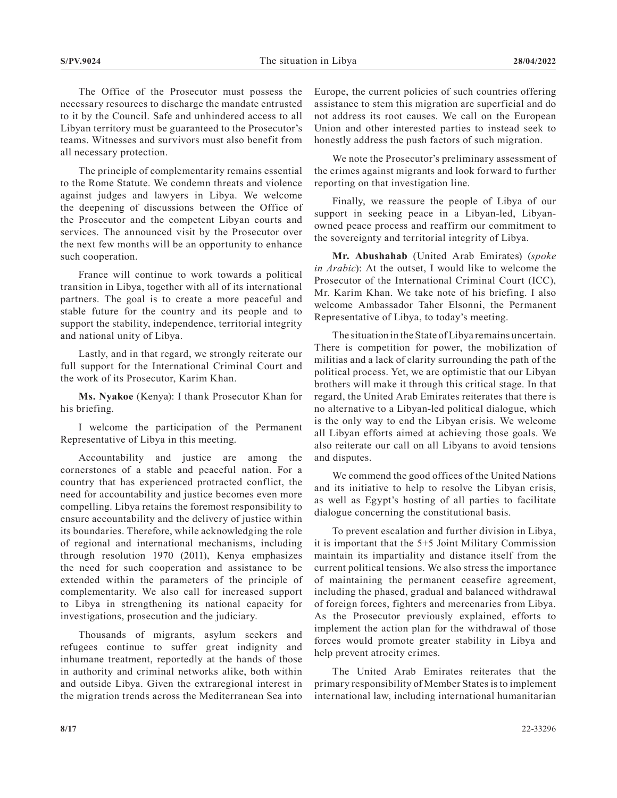The Office of the Prosecutor must possess the necessary resources to discharge the mandate entrusted to it by the Council. Safe and unhindered access to all Libyan territory must be guaranteed to the Prosecutor's teams. Witnesses and survivors must also benefit from all necessary protection.

The principle of complementarity remains essential to the Rome Statute. We condemn threats and violence against judges and lawyers in Libya. We welcome the deepening of discussions between the Office of the Prosecutor and the competent Libyan courts and services. The announced visit by the Prosecutor over the next few months will be an opportunity to enhance such cooperation.

France will continue to work towards a political transition in Libya, together with all of its international partners. The goal is to create a more peaceful and stable future for the country and its people and to support the stability, independence, territorial integrity and national unity of Libya.

Lastly, and in that regard, we strongly reiterate our full support for the International Criminal Court and the work of its Prosecutor, Karim Khan.

**Ms. Nyakoe** (Kenya): I thank Prosecutor Khan for his briefing.

I welcome the participation of the Permanent Representative of Libya in this meeting.

Accountability and justice are among the cornerstones of a stable and peaceful nation. For a country that has experienced protracted conflict, the need for accountability and justice becomes even more compelling. Libya retains the foremost responsibility to ensure accountability and the delivery of justice within its boundaries. Therefore, while acknowledging the role of regional and international mechanisms, including through resolution 1970 (2011), Kenya emphasizes the need for such cooperation and assistance to be extended within the parameters of the principle of complementarity. We also call for increased support to Libya in strengthening its national capacity for investigations, prosecution and the judiciary.

Thousands of migrants, asylum seekers and refugees continue to suffer great indignity and inhumane treatment, reportedly at the hands of those in authority and criminal networks alike, both within and outside Libya. Given the extraregional interest in the migration trends across the Mediterranean Sea into Europe, the current policies of such countries offering assistance to stem this migration are superficial and do not address its root causes. We call on the European Union and other interested parties to instead seek to honestly address the push factors of such migration.

We note the Prosecutor's preliminary assessment of the crimes against migrants and look forward to further reporting on that investigation line.

Finally, we reassure the people of Libya of our support in seeking peace in a Libyan-led, Libyanowned peace process and reaffirm our commitment to the sovereignty and territorial integrity of Libya.

**Mr. Abushahab** (United Arab Emirates) (*spoke in Arabic*): At the outset, I would like to welcome the Prosecutor of the International Criminal Court (ICC), Mr. Karim Khan. We take note of his briefing. I also welcome Ambassador Taher Elsonni, the Permanent Representative of Libya, to today's meeting.

The situation in the State of Libya remains uncertain. There is competition for power, the mobilization of militias and a lack of clarity surrounding the path of the political process. Yet, we are optimistic that our Libyan brothers will make it through this critical stage. In that regard, the United Arab Emirates reiterates that there is no alternative to a Libyan-led political dialogue, which is the only way to end the Libyan crisis. We welcome all Libyan efforts aimed at achieving those goals. We also reiterate our call on all Libyans to avoid tensions and disputes.

We commend the good offices of the United Nations and its initiative to help to resolve the Libyan crisis, as well as Egypt's hosting of all parties to facilitate dialogue concerning the constitutional basis.

To prevent escalation and further division in Libya, it is important that the 5+5 Joint Military Commission maintain its impartiality and distance itself from the current political tensions. We also stress the importance of maintaining the permanent ceasefire agreement, including the phased, gradual and balanced withdrawal of foreign forces, fighters and mercenaries from Libya. As the Prosecutor previously explained, efforts to implement the action plan for the withdrawal of those forces would promote greater stability in Libya and help prevent atrocity crimes.

The United Arab Emirates reiterates that the primary responsibility of Member States is to implement international law, including international humanitarian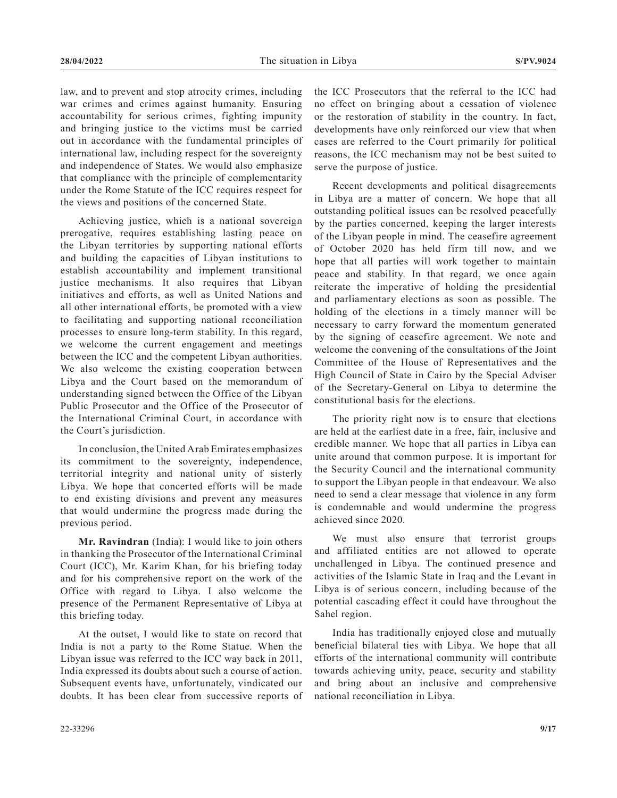law, and to prevent and stop atrocity crimes, including war crimes and crimes against humanity. Ensuring accountability for serious crimes, fighting impunity and bringing justice to the victims must be carried out in accordance with the fundamental principles of international law, including respect for the sovereignty and independence of States. We would also emphasize that compliance with the principle of complementarity under the Rome Statute of the ICC requires respect for the views and positions of the concerned State.

Achieving justice, which is a national sovereign prerogative, requires establishing lasting peace on the Libyan territories by supporting national efforts and building the capacities of Libyan institutions to establish accountability and implement transitional justice mechanisms. It also requires that Libyan initiatives and efforts, as well as United Nations and all other international efforts, be promoted with a view to facilitating and supporting national reconciliation processes to ensure long-term stability. In this regard, we welcome the current engagement and meetings between the ICC and the competent Libyan authorities. We also welcome the existing cooperation between Libya and the Court based on the memorandum of understanding signed between the Office of the Libyan Public Prosecutor and the Office of the Prosecutor of the International Criminal Court, in accordance with the Court's jurisdiction.

In conclusion, the United Arab Emirates emphasizes its commitment to the sovereignty, independence, territorial integrity and national unity of sisterly Libya. We hope that concerted efforts will be made to end existing divisions and prevent any measures that would undermine the progress made during the previous period.

**Mr. Ravindran** (India): I would like to join others in thanking the Prosecutor of the International Criminal Court (ICC), Mr. Karim Khan, for his briefing today and for his comprehensive report on the work of the Office with regard to Libya. I also welcome the presence of the Permanent Representative of Libya at this briefing today.

At the outset, I would like to state on record that India is not a party to the Rome Statue. When the Libyan issue was referred to the ICC way back in 2011, India expressed its doubts about such a course of action. Subsequent events have, unfortunately, vindicated our doubts. It has been clear from successive reports of the ICC Prosecutors that the referral to the ICC had no effect on bringing about a cessation of violence or the restoration of stability in the country. In fact, developments have only reinforced our view that when cases are referred to the Court primarily for political reasons, the ICC mechanism may not be best suited to serve the purpose of justice.

Recent developments and political disagreements in Libya are a matter of concern. We hope that all outstanding political issues can be resolved peacefully by the parties concerned, keeping the larger interests of the Libyan people in mind. The ceasefire agreement of October 2020 has held firm till now, and we hope that all parties will work together to maintain peace and stability. In that regard, we once again reiterate the imperative of holding the presidential and parliamentary elections as soon as possible. The holding of the elections in a timely manner will be necessary to carry forward the momentum generated by the signing of ceasefire agreement. We note and welcome the convening of the consultations of the Joint Committee of the House of Representatives and the High Council of State in Cairo by the Special Adviser of the Secretary-General on Libya to determine the constitutional basis for the elections.

The priority right now is to ensure that elections are held at the earliest date in a free, fair, inclusive and credible manner. We hope that all parties in Libya can unite around that common purpose. It is important for the Security Council and the international community to support the Libyan people in that endeavour. We also need to send a clear message that violence in any form is condemnable and would undermine the progress achieved since 2020.

We must also ensure that terrorist groups and affiliated entities are not allowed to operate unchallenged in Libya. The continued presence and activities of the Islamic State in Iraq and the Levant in Libya is of serious concern, including because of the potential cascading effect it could have throughout the Sahel region.

India has traditionally enjoyed close and mutually beneficial bilateral ties with Libya. We hope that all efforts of the international community will contribute towards achieving unity, peace, security and stability and bring about an inclusive and comprehensive national reconciliation in Libya.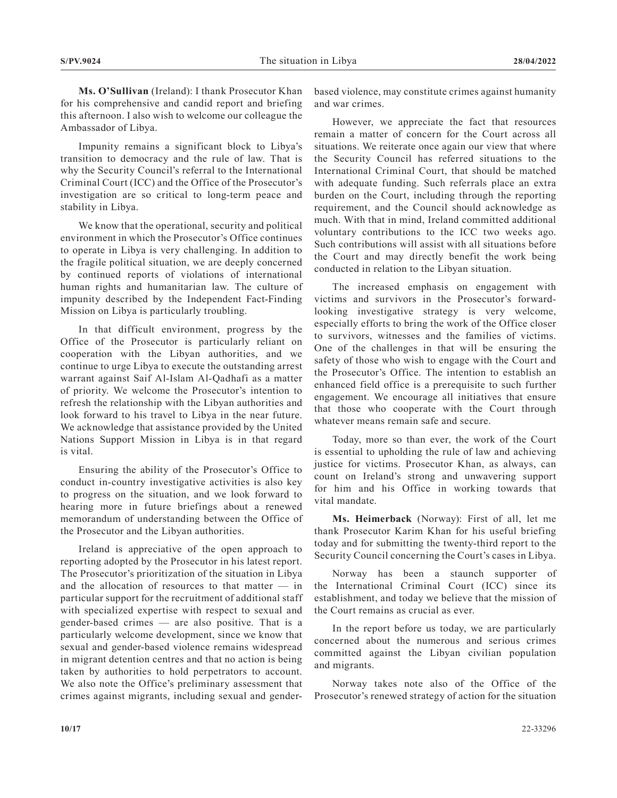**Ms. O'Sullivan** (Ireland): I thank Prosecutor Khan for his comprehensive and candid report and briefing this afternoon. I also wish to welcome our colleague the Ambassador of Libya.

Impunity remains a significant block to Libya's transition to democracy and the rule of law. That is why the Security Council's referral to the International Criminal Court (ICC) and the Office of the Prosecutor's investigation are so critical to long-term peace and stability in Libya.

We know that the operational, security and political environment in which the Prosecutor's Office continues to operate in Libya is very challenging. In addition to the fragile political situation, we are deeply concerned by continued reports of violations of international human rights and humanitarian law. The culture of impunity described by the Independent Fact-Finding Mission on Libya is particularly troubling.

In that difficult environment, progress by the Office of the Prosecutor is particularly reliant on cooperation with the Libyan authorities, and we continue to urge Libya to execute the outstanding arrest warrant against Saif Al-Islam Al-Qadhafi as a matter of priority. We welcome the Prosecutor's intention to refresh the relationship with the Libyan authorities and look forward to his travel to Libya in the near future. We acknowledge that assistance provided by the United Nations Support Mission in Libya is in that regard is vital.

Ensuring the ability of the Prosecutor's Office to conduct in-country investigative activities is also key to progress on the situation, and we look forward to hearing more in future briefings about a renewed memorandum of understanding between the Office of the Prosecutor and the Libyan authorities.

Ireland is appreciative of the open approach to reporting adopted by the Prosecutor in his latest report. The Prosecutor's prioritization of the situation in Libya and the allocation of resources to that matter — in particular support for the recruitment of additional staff with specialized expertise with respect to sexual and gender-based crimes — are also positive. That is a particularly welcome development, since we know that sexual and gender-based violence remains widespread in migrant detention centres and that no action is being taken by authorities to hold perpetrators to account. We also note the Office's preliminary assessment that crimes against migrants, including sexual and genderbased violence, may constitute crimes against humanity and war crimes.

However, we appreciate the fact that resources remain a matter of concern for the Court across all situations. We reiterate once again our view that where the Security Council has referred situations to the International Criminal Court, that should be matched with adequate funding. Such referrals place an extra burden on the Court, including through the reporting requirement, and the Council should acknowledge as much. With that in mind, Ireland committed additional voluntary contributions to the ICC two weeks ago. Such contributions will assist with all situations before the Court and may directly benefit the work being conducted in relation to the Libyan situation.

The increased emphasis on engagement with victims and survivors in the Prosecutor's forwardlooking investigative strategy is very welcome, especially efforts to bring the work of the Office closer to survivors, witnesses and the families of victims. One of the challenges in that will be ensuring the safety of those who wish to engage with the Court and the Prosecutor's Office. The intention to establish an enhanced field office is a prerequisite to such further engagement. We encourage all initiatives that ensure that those who cooperate with the Court through whatever means remain safe and secure.

Today, more so than ever, the work of the Court is essential to upholding the rule of law and achieving justice for victims. Prosecutor Khan, as always, can count on Ireland's strong and unwavering support for him and his Office in working towards that vital mandate.

**Ms. Heimerback** (Norway): First of all, let me thank Prosecutor Karim Khan for his useful briefing today and for submitting the twenty-third report to the Security Council concerning the Court's cases in Libya.

Norway has been a staunch supporter of the International Criminal Court (ICC) since its establishment, and today we believe that the mission of the Court remains as crucial as ever.

In the report before us today, we are particularly concerned about the numerous and serious crimes committed against the Libyan civilian population and migrants.

Norway takes note also of the Office of the Prosecutor's renewed strategy of action for the situation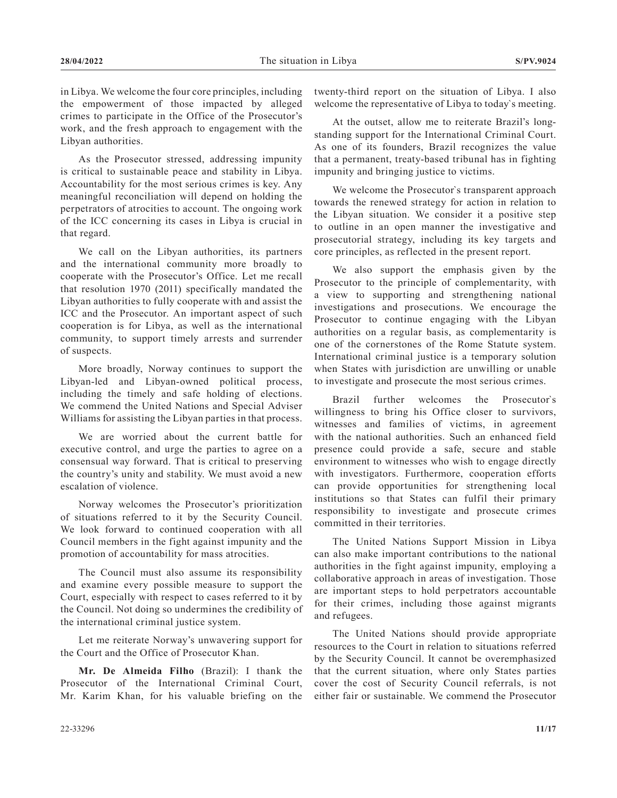in Libya. We welcome the four core principles, including the empowerment of those impacted by alleged crimes to participate in the Office of the Prosecutor's work, and the fresh approach to engagement with the Libyan authorities.

As the Prosecutor stressed, addressing impunity is critical to sustainable peace and stability in Libya. Accountability for the most serious crimes is key. Any meaningful reconciliation will depend on holding the perpetrators of atrocities to account. The ongoing work of the ICC concerning its cases in Libya is crucial in that regard.

We call on the Libyan authorities, its partners and the international community more broadly to cooperate with the Prosecutor's Office. Let me recall that resolution 1970 (2011) specifically mandated the Libyan authorities to fully cooperate with and assist the ICC and the Prosecutor. An important aspect of such cooperation is for Libya, as well as the international community, to support timely arrests and surrender of suspects.

More broadly, Norway continues to support the Libyan-led and Libyan-owned political process, including the timely and safe holding of elections. We commend the United Nations and Special Adviser Williams for assisting the Libyan parties in that process.

We are worried about the current battle for executive control, and urge the parties to agree on a consensual way forward. That is critical to preserving the country's unity and stability. We must avoid a new escalation of violence.

Norway welcomes the Prosecutor's prioritization of situations referred to it by the Security Council. We look forward to continued cooperation with all Council members in the fight against impunity and the promotion of accountability for mass atrocities.

The Council must also assume its responsibility and examine every possible measure to support the Court, especially with respect to cases referred to it by the Council. Not doing so undermines the credibility of the international criminal justice system.

Let me reiterate Norway's unwavering support for the Court and the Office of Prosecutor Khan.

**Mr. De Almeida Filho** (Brazil): I thank the Prosecutor of the International Criminal Court, Mr. Karim Khan, for his valuable briefing on the

twenty-third report on the situation of Libya. I also welcome the representative of Libya to today`s meeting.

At the outset, allow me to reiterate Brazil's longstanding support for the International Criminal Court. As one of its founders, Brazil recognizes the value that a permanent, treaty-based tribunal has in fighting impunity and bringing justice to victims.

We welcome the Prosecutor`s transparent approach towards the renewed strategy for action in relation to the Libyan situation. We consider it a positive step to outline in an open manner the investigative and prosecutorial strategy, including its key targets and core principles, as reflected in the present report.

We also support the emphasis given by the Prosecutor to the principle of complementarity, with a view to supporting and strengthening national investigations and prosecutions. We encourage the Prosecutor to continue engaging with the Libyan authorities on a regular basis, as complementarity is one of the cornerstones of the Rome Statute system. International criminal justice is a temporary solution when States with jurisdiction are unwilling or unable to investigate and prosecute the most serious crimes.

Brazil further welcomes the Prosecutor`s willingness to bring his Office closer to survivors, witnesses and families of victims, in agreement with the national authorities. Such an enhanced field presence could provide a safe, secure and stable environment to witnesses who wish to engage directly with investigators. Furthermore, cooperation efforts can provide opportunities for strengthening local institutions so that States can fulfil their primary responsibility to investigate and prosecute crimes committed in their territories.

The United Nations Support Mission in Libya can also make important contributions to the national authorities in the fight against impunity, employing a collaborative approach in areas of investigation. Those are important steps to hold perpetrators accountable for their crimes, including those against migrants and refugees.

The United Nations should provide appropriate resources to the Court in relation to situations referred by the Security Council. It cannot be overemphasized that the current situation, where only States parties cover the cost of Security Council referrals, is not either fair or sustainable. We commend the Prosecutor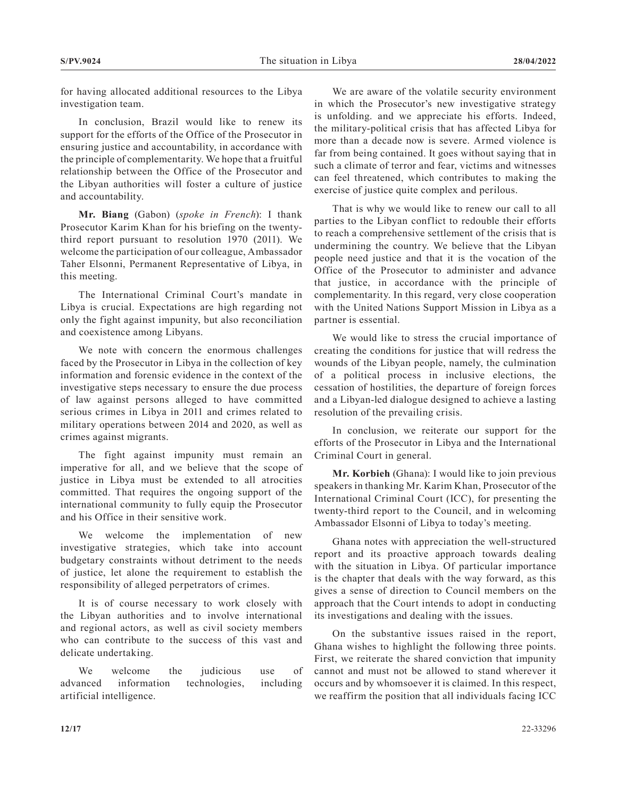for having allocated additional resources to the Libya investigation team.

In conclusion, Brazil would like to renew its support for the efforts of the Office of the Prosecutor in ensuring justice and accountability, in accordance with the principle of complementarity. We hope that a fruitful relationship between the Office of the Prosecutor and the Libyan authorities will foster a culture of justice and accountability.

**Mr. Biang** (Gabon) (*spoke in French*): I thank Prosecutor Karim Khan for his briefing on the twentythird report pursuant to resolution 1970 (2011). We welcome the participation of our colleague, Ambassador Taher Elsonni, Permanent Representative of Libya, in this meeting.

The International Criminal Court's mandate in Libya is crucial. Expectations are high regarding not only the fight against impunity, but also reconciliation and coexistence among Libyans.

We note with concern the enormous challenges faced by the Prosecutor in Libya in the collection of key information and forensic evidence in the context of the investigative steps necessary to ensure the due process of law against persons alleged to have committed serious crimes in Libya in 2011 and crimes related to military operations between 2014 and 2020, as well as crimes against migrants.

The fight against impunity must remain an imperative for all, and we believe that the scope of justice in Libya must be extended to all atrocities committed. That requires the ongoing support of the international community to fully equip the Prosecutor and his Office in their sensitive work.

We welcome the implementation of new investigative strategies, which take into account budgetary constraints without detriment to the needs of justice, let alone the requirement to establish the responsibility of alleged perpetrators of crimes.

It is of course necessary to work closely with the Libyan authorities and to involve international and regional actors, as well as civil society members who can contribute to the success of this vast and delicate undertaking.

We welcome the judicious use of advanced information technologies, including artificial intelligence.

We are aware of the volatile security environment in which the Prosecutor's new investigative strategy is unfolding. and we appreciate his efforts. Indeed, the military-political crisis that has affected Libya for more than a decade now is severe. Armed violence is far from being contained. It goes without saying that in such a climate of terror and fear, victims and witnesses can feel threatened, which contributes to making the exercise of justice quite complex and perilous.

That is why we would like to renew our call to all parties to the Libyan conflict to redouble their efforts to reach a comprehensive settlement of the crisis that is undermining the country. We believe that the Libyan people need justice and that it is the vocation of the Office of the Prosecutor to administer and advance that justice, in accordance with the principle of complementarity. In this regard, very close cooperation with the United Nations Support Mission in Libya as a partner is essential.

We would like to stress the crucial importance of creating the conditions for justice that will redress the wounds of the Libyan people, namely, the culmination of a political process in inclusive elections, the cessation of hostilities, the departure of foreign forces and a Libyan-led dialogue designed to achieve a lasting resolution of the prevailing crisis.

In conclusion, we reiterate our support for the efforts of the Prosecutor in Libya and the International Criminal Court in general.

**Mr. Korbieh** (Ghana): I would like to join previous speakers in thanking Mr. Karim Khan, Prosecutor of the International Criminal Court (ICC), for presenting the twenty-third report to the Council, and in welcoming Ambassador Elsonni of Libya to today's meeting.

Ghana notes with appreciation the well-structured report and its proactive approach towards dealing with the situation in Libya. Of particular importance is the chapter that deals with the way forward, as this gives a sense of direction to Council members on the approach that the Court intends to adopt in conducting its investigations and dealing with the issues.

On the substantive issues raised in the report, Ghana wishes to highlight the following three points. First, we reiterate the shared conviction that impunity cannot and must not be allowed to stand wherever it occurs and by whomsoever it is claimed. In this respect, we reaffirm the position that all individuals facing ICC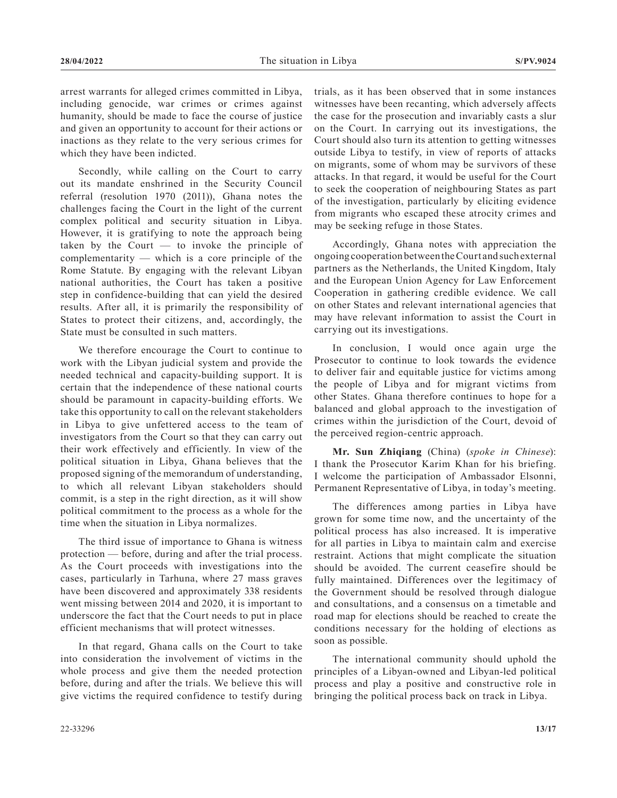arrest warrants for alleged crimes committed in Libya, including genocide, war crimes or crimes against humanity, should be made to face the course of justice and given an opportunity to account for their actions or inactions as they relate to the very serious crimes for which they have been indicted.

Secondly, while calling on the Court to carry out its mandate enshrined in the Security Council referral (resolution 1970 (2011)), Ghana notes the challenges facing the Court in the light of the current complex political and security situation in Libya. However, it is gratifying to note the approach being taken by the Court — to invoke the principle of complementarity — which is a core principle of the Rome Statute. By engaging with the relevant Libyan national authorities, the Court has taken a positive step in confidence-building that can yield the desired results. After all, it is primarily the responsibility of States to protect their citizens, and, accordingly, the State must be consulted in such matters.

We therefore encourage the Court to continue to work with the Libyan judicial system and provide the needed technical and capacity-building support. It is certain that the independence of these national courts should be paramount in capacity-building efforts. We take this opportunity to call on the relevant stakeholders in Libya to give unfettered access to the team of investigators from the Court so that they can carry out their work effectively and efficiently. In view of the political situation in Libya, Ghana believes that the proposed signing of the memorandum of understanding, to which all relevant Libyan stakeholders should commit, is a step in the right direction, as it will show political commitment to the process as a whole for the time when the situation in Libya normalizes.

The third issue of importance to Ghana is witness protection — before, during and after the trial process. As the Court proceeds with investigations into the cases, particularly in Tarhuna, where 27 mass graves have been discovered and approximately 338 residents went missing between 2014 and 2020, it is important to underscore the fact that the Court needs to put in place efficient mechanisms that will protect witnesses.

In that regard, Ghana calls on the Court to take into consideration the involvement of victims in the whole process and give them the needed protection before, during and after the trials. We believe this will give victims the required confidence to testify during trials, as it has been observed that in some instances witnesses have been recanting, which adversely affects the case for the prosecution and invariably casts a slur on the Court. In carrying out its investigations, the Court should also turn its attention to getting witnesses outside Libya to testify, in view of reports of attacks on migrants, some of whom may be survivors of these attacks. In that regard, it would be useful for the Court to seek the cooperation of neighbouring States as part of the investigation, particularly by eliciting evidence from migrants who escaped these atrocity crimes and may be seeking refuge in those States.

Accordingly, Ghana notes with appreciation the ongoing cooperation between the Court and such external partners as the Netherlands, the United Kingdom, Italy and the European Union Agency for Law Enforcement Cooperation in gathering credible evidence. We call on other States and relevant international agencies that may have relevant information to assist the Court in carrying out its investigations.

In conclusion, I would once again urge the Prosecutor to continue to look towards the evidence to deliver fair and equitable justice for victims among the people of Libya and for migrant victims from other States. Ghana therefore continues to hope for a balanced and global approach to the investigation of crimes within the jurisdiction of the Court, devoid of the perceived region-centric approach.

**Mr. Sun Zhiqiang** (China) (*spoke in Chinese*): I thank the Prosecutor Karim Khan for his briefing. I welcome the participation of Ambassador Elsonni, Permanent Representative of Libya, in today's meeting.

The differences among parties in Libya have grown for some time now, and the uncertainty of the political process has also increased. It is imperative for all parties in Libya to maintain calm and exercise restraint. Actions that might complicate the situation should be avoided. The current ceasefire should be fully maintained. Differences over the legitimacy of the Government should be resolved through dialogue and consultations, and a consensus on a timetable and road map for elections should be reached to create the conditions necessary for the holding of elections as soon as possible.

The international community should uphold the principles of a Libyan-owned and Libyan-led political process and play a positive and constructive role in bringing the political process back on track in Libya.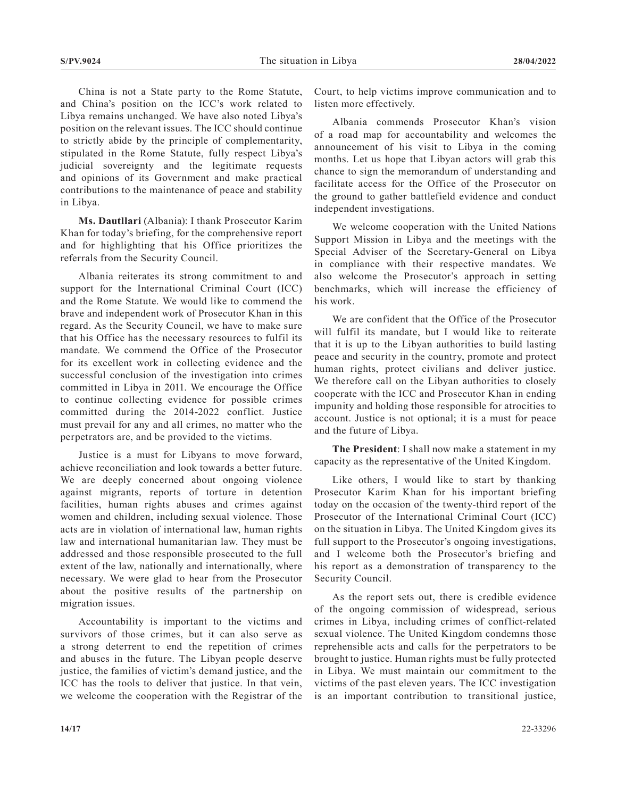China is not a State party to the Rome Statute, and China's position on the ICC's work related to Libya remains unchanged. We have also noted Libya's position on the relevant issues. The ICC should continue to strictly abide by the principle of complementarity, stipulated in the Rome Statute, fully respect Libya's judicial sovereignty and the legitimate requests and opinions of its Government and make practical contributions to the maintenance of peace and stability in Libya.

**Ms. Dautllari** (Albania): I thank Prosecutor Karim Khan for today's briefing, for the comprehensive report and for highlighting that his Office prioritizes the referrals from the Security Council.

Albania reiterates its strong commitment to and support for the International Criminal Court (ICC) and the Rome Statute. We would like to commend the brave and independent work of Prosecutor Khan in this regard. As the Security Council, we have to make sure that his Office has the necessary resources to fulfil its mandate. We commend the Office of the Prosecutor for its excellent work in collecting evidence and the successful conclusion of the investigation into crimes committed in Libya in 2011. We encourage the Office to continue collecting evidence for possible crimes committed during the 2014-2022 conflict. Justice must prevail for any and all crimes, no matter who the perpetrators are, and be provided to the victims.

Justice is a must for Libyans to move forward, achieve reconciliation and look towards a better future. We are deeply concerned about ongoing violence against migrants, reports of torture in detention facilities, human rights abuses and crimes against women and children, including sexual violence. Those acts are in violation of international law, human rights law and international humanitarian law. They must be addressed and those responsible prosecuted to the full extent of the law, nationally and internationally, where necessary. We were glad to hear from the Prosecutor about the positive results of the partnership on migration issues.

Accountability is important to the victims and survivors of those crimes, but it can also serve as a strong deterrent to end the repetition of crimes and abuses in the future. The Libyan people deserve justice, the families of victim's demand justice, and the ICC has the tools to deliver that justice. In that vein, we welcome the cooperation with the Registrar of the Court, to help victims improve communication and to listen more effectively.

Albania commends Prosecutor Khan's vision of a road map for accountability and welcomes the announcement of his visit to Libya in the coming months. Let us hope that Libyan actors will grab this chance to sign the memorandum of understanding and facilitate access for the Office of the Prosecutor on the ground to gather battlefield evidence and conduct independent investigations.

We welcome cooperation with the United Nations Support Mission in Libya and the meetings with the Special Adviser of the Secretary-General on Libya in compliance with their respective mandates. We also welcome the Prosecutor's approach in setting benchmarks, which will increase the efficiency of his work.

We are confident that the Office of the Prosecutor will fulfil its mandate, but I would like to reiterate that it is up to the Libyan authorities to build lasting peace and security in the country, promote and protect human rights, protect civilians and deliver justice. We therefore call on the Libyan authorities to closely cooperate with the ICC and Prosecutor Khan in ending impunity and holding those responsible for atrocities to account. Justice is not optional; it is a must for peace and the future of Libya.

**The President**: I shall now make a statement in my capacity as the representative of the United Kingdom.

Like others, I would like to start by thanking Prosecutor Karim Khan for his important briefing today on the occasion of the twenty-third report of the Prosecutor of the International Criminal Court (ICC) on the situation in Libya. The United Kingdom gives its full support to the Prosecutor's ongoing investigations, and I welcome both the Prosecutor's briefing and his report as a demonstration of transparency to the Security Council.

As the report sets out, there is credible evidence of the ongoing commission of widespread, serious crimes in Libya, including crimes of conflict-related sexual violence. The United Kingdom condemns those reprehensible acts and calls for the perpetrators to be brought to justice. Human rights must be fully protected in Libya. We must maintain our commitment to the victims of the past eleven years. The ICC investigation is an important contribution to transitional justice,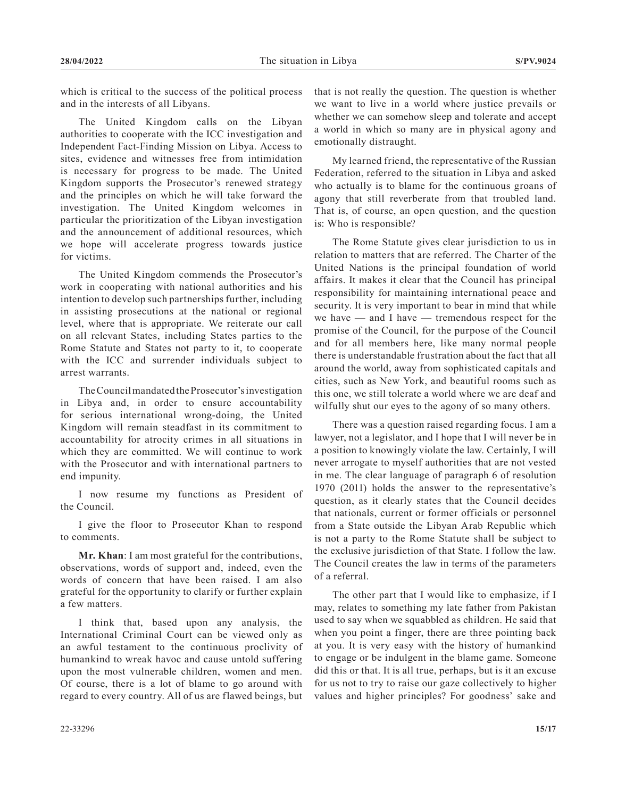which is critical to the success of the political process and in the interests of all Libyans.

The United Kingdom calls on the Libyan authorities to cooperate with the ICC investigation and Independent Fact-Finding Mission on Libya. Access to sites, evidence and witnesses free from intimidation is necessary for progress to be made. The United Kingdom supports the Prosecutor's renewed strategy and the principles on which he will take forward the investigation. The United Kingdom welcomes in particular the prioritization of the Libyan investigation and the announcement of additional resources, which we hope will accelerate progress towards justice for victims.

The United Kingdom commends the Prosecutor's work in cooperating with national authorities and his intention to develop such partnerships further, including in assisting prosecutions at the national or regional level, where that is appropriate. We reiterate our call on all relevant States, including States parties to the Rome Statute and States not party to it, to cooperate with the ICC and surrender individuals subject to arrest warrants.

The Council mandated the Prosecutor's investigation in Libya and, in order to ensure accountability for serious international wrong-doing, the United Kingdom will remain steadfast in its commitment to accountability for atrocity crimes in all situations in which they are committed. We will continue to work with the Prosecutor and with international partners to end impunity.

I now resume my functions as President of the Council.

I give the floor to Prosecutor Khan to respond to comments.

**Mr. Khan**: I am most grateful for the contributions, observations, words of support and, indeed, even the words of concern that have been raised. I am also grateful for the opportunity to clarify or further explain a few matters.

I think that, based upon any analysis, the International Criminal Court can be viewed only as an awful testament to the continuous proclivity of humankind to wreak havoc and cause untold suffering upon the most vulnerable children, women and men. Of course, there is a lot of blame to go around with regard to every country. All of us are flawed beings, but

that is not really the question. The question is whether we want to live in a world where justice prevails or whether we can somehow sleep and tolerate and accept a world in which so many are in physical agony and emotionally distraught.

My learned friend, the representative of the Russian Federation, referred to the situation in Libya and asked who actually is to blame for the continuous groans of agony that still reverberate from that troubled land. That is, of course, an open question, and the question is: Who is responsible?

The Rome Statute gives clear jurisdiction to us in relation to matters that are referred. The Charter of the United Nations is the principal foundation of world affairs. It makes it clear that the Council has principal responsibility for maintaining international peace and security. It is very important to bear in mind that while we have — and I have — tremendous respect for the promise of the Council, for the purpose of the Council and for all members here, like many normal people there is understandable frustration about the fact that all around the world, away from sophisticated capitals and cities, such as New York, and beautiful rooms such as this one, we still tolerate a world where we are deaf and wilfully shut our eyes to the agony of so many others.

There was a question raised regarding focus. I am a lawyer, not a legislator, and I hope that I will never be in a position to knowingly violate the law. Certainly, I will never arrogate to myself authorities that are not vested in me. The clear language of paragraph 6 of resolution 1970 (2011) holds the answer to the representative's question, as it clearly states that the Council decides that nationals, current or former officials or personnel from a State outside the Libyan Arab Republic which is not a party to the Rome Statute shall be subject to the exclusive jurisdiction of that State. I follow the law. The Council creates the law in terms of the parameters of a referral.

The other part that I would like to emphasize, if I may, relates to something my late father from Pakistan used to say when we squabbled as children. He said that when you point a finger, there are three pointing back at you. It is very easy with the history of humankind to engage or be indulgent in the blame game. Someone did this or that. It is all true, perhaps, but is it an excuse for us not to try to raise our gaze collectively to higher values and higher principles? For goodness' sake and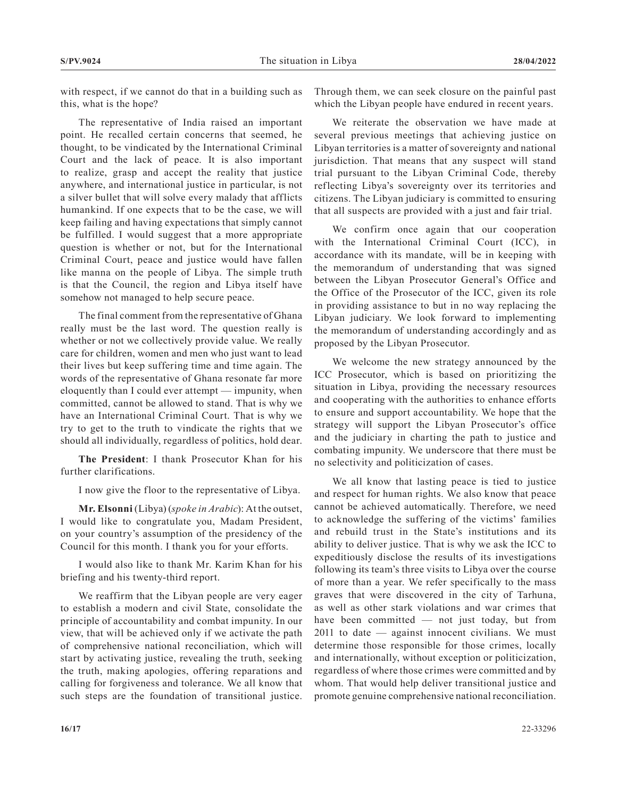with respect, if we cannot do that in a building such as this, what is the hope?

The representative of India raised an important point. He recalled certain concerns that seemed, he thought, to be vindicated by the International Criminal Court and the lack of peace. It is also important to realize, grasp and accept the reality that justice anywhere, and international justice in particular, is not a silver bullet that will solve every malady that afflicts humankind. If one expects that to be the case, we will keep failing and having expectations that simply cannot be fulfilled. I would suggest that a more appropriate question is whether or not, but for the International Criminal Court, peace and justice would have fallen like manna on the people of Libya. The simple truth is that the Council, the region and Libya itself have somehow not managed to help secure peace.

The final comment from the representative of Ghana really must be the last word. The question really is whether or not we collectively provide value. We really care for children, women and men who just want to lead their lives but keep suffering time and time again. The words of the representative of Ghana resonate far more eloquently than I could ever attempt — impunity, when committed, cannot be allowed to stand. That is why we have an International Criminal Court. That is why we try to get to the truth to vindicate the rights that we should all individually, regardless of politics, hold dear.

**The President**: I thank Prosecutor Khan for his further clarifications.

I now give the floor to the representative of Libya.

**Mr. Elsonni** (Libya) (*spoke in Arabic*): At the outset, I would like to congratulate you, Madam President, on your country's assumption of the presidency of the Council for this month. I thank you for your efforts.

I would also like to thank Mr. Karim Khan for his briefing and his twenty-third report.

We reaffirm that the Libyan people are very eager to establish a modern and civil State, consolidate the principle of accountability and combat impunity. In our view, that will be achieved only if we activate the path of comprehensive national reconciliation, which will start by activating justice, revealing the truth, seeking the truth, making apologies, offering reparations and calling for forgiveness and tolerance. We all know that such steps are the foundation of transitional justice.

Through them, we can seek closure on the painful past which the Libyan people have endured in recent years.

We reiterate the observation we have made at several previous meetings that achieving justice on Libyan territories is a matter of sovereignty and national jurisdiction. That means that any suspect will stand trial pursuant to the Libyan Criminal Code, thereby reflecting Libya's sovereignty over its territories and citizens. The Libyan judiciary is committed to ensuring that all suspects are provided with a just and fair trial.

We confirm once again that our cooperation with the International Criminal Court (ICC), in accordance with its mandate, will be in keeping with the memorandum of understanding that was signed between the Libyan Prosecutor General's Office and the Office of the Prosecutor of the ICC, given its role in providing assistance to but in no way replacing the Libyan judiciary. We look forward to implementing the memorandum of understanding accordingly and as proposed by the Libyan Prosecutor.

We welcome the new strategy announced by the ICC Prosecutor, which is based on prioritizing the situation in Libya, providing the necessary resources and cooperating with the authorities to enhance efforts to ensure and support accountability. We hope that the strategy will support the Libyan Prosecutor's office and the judiciary in charting the path to justice and combating impunity. We underscore that there must be no selectivity and politicization of cases.

We all know that lasting peace is tied to justice and respect for human rights. We also know that peace cannot be achieved automatically. Therefore, we need to acknowledge the suffering of the victims' families and rebuild trust in the State's institutions and its ability to deliver justice. That is why we ask the ICC to expeditiously disclose the results of its investigations following its team's three visits to Libya over the course of more than a year. We refer specifically to the mass graves that were discovered in the city of Tarhuna, as well as other stark violations and war crimes that have been committed — not just today, but from 2011 to date — against innocent civilians. We must determine those responsible for those crimes, locally and internationally, without exception or politicization, regardless of where those crimes were committed and by whom. That would help deliver transitional justice and promote genuine comprehensive national reconciliation.